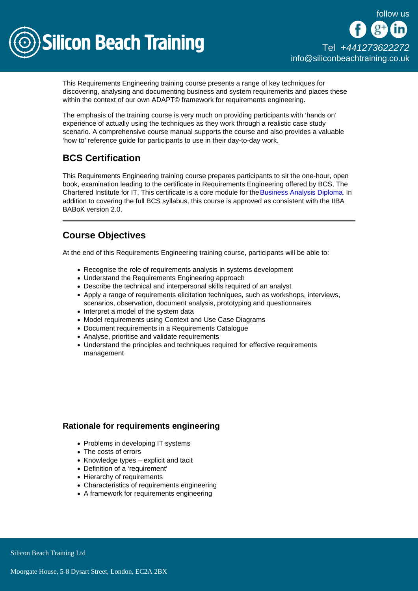

# [Tel +44](tel:+441273622272)1273622272 [info@siliconbeachtraining.co.uk](/var/www/html/siliconbeachtraining.co.uk/public/mailTo:info@siliconbeachtraining.co.uk)

This Requirements Engineering training course presents a range of key techniques for discovering, analysing and documenting business and system requirements and places these within the context of our own ADAPT© framework for requirements engineering.

The emphasis of the training course is very much on providing participants with 'hands on' experience of actually using the techniques as they work through a realistic case study scenario. A comprehensive course manual supports the course and also provides a valuable 'how to' reference guide for participants to use in their day-to-day work.

# BCS Certification

This Requirements Engineering training course prepares participants to sit the one-hour, open book, examination leading to the certificate in Requirements Engineering offered by BCS, The Chartered Institute for IT. This certificate is a core module for the [Business Analysis Diploma.](/business-analysis-training) In addition to covering the full BCS syllabus, this course is approved as consistent with the IIBA BABoK version 2.0.

# Course Objectives

At the end of this Requirements Engineering training course, participants will be able to:

- Recognise the role of requirements analysis in systems development
- Understand the Requirements Engineering approach
- Describe the technical and interpersonal skills required of an analyst
- Apply a range of requirements elicitation techniques, such as workshops, interviews, scenarios, observation, document analysis, prototyping and questionnaires
- Interpret a model of the system data
- Model requirements using Context and Use Case Diagrams
- Document requirements in a Requirements Catalogue
- Analyse, prioritise and validate requirements
- Understand the principles and techniques required for effective requirements management

# Rationale for requirements engineering

- Problems in developing IT systems
- The costs of errors
- Knowledge types explicit and tacit
- Definition of a 'requirement'
- Hierarchy of requirements
- Characteristics of requirements engineering
- A framework for requirements engineering

**Silicon Beach Training Ltd**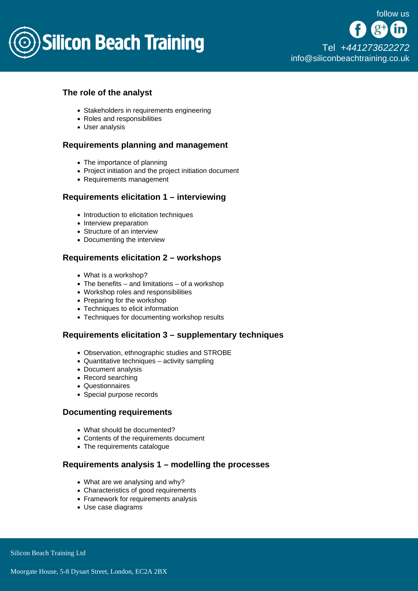

# The role of the analyst

- Stakeholders in requirements engineering
- Roles and responsibilities
- User analysis

# Requirements planning and management

- The importance of planning
- Project initiation and the project initiation document
- Requirements management

### Requirements elicitation 1 – interviewing

- Introduction to elicitation techniques
- Interview preparation
- Structure of an interview
- Documenting the interview

## Requirements elicitation 2 – workshops

- What is a workshop?
- $\bullet$  The benefits and limitations of a workshop
- Workshop roles and responsibilities
- Preparing for the workshop
- Techniques to elicit information
- Techniques for documenting workshop results

### Requirements elicitation 3 – supplementary techniques

- Observation, ethnographic studies and STROBE
- Quantitative techniques activity sampling
- Document analysis
- Record searching
- Questionnaires
- Special purpose records

### Documenting requirements

- What should be documented?
- Contents of the requirements document
- The requirements catalogue

### Requirements analysis 1 – modelling the processes

- What are we analysing and why?
- Characteristics of good requirements
- Framework for requirements analysis
- Use case diagrams

Silicon Beach Training Ltd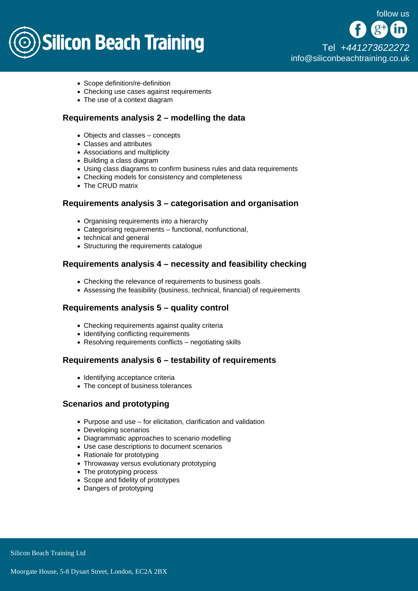# **Silicon Beach Training**

[Tel +44](tel:+441273622272)1273622272 [info@siliconbeachtraining.co.uk](/var/www/html/siliconbeachtraining.co.uk/public/mailTo:info@siliconbeachtraining.co.uk)

- Scope definition/re-definition
- Checking use cases against requirements
- The use of a context diagram

# Requirements analysis 2 – modelling the data

- Objects and classes concepts
- Classes and attributes
- Associations and multiplicity
- Building a class diagram
- Using class diagrams to confirm business rules and data requirements
- Checking models for consistency and completeness
- The CRUD matrix

### Requirements analysis 3 – categorisation and organisation

- Organising requirements into a hierarchy
- Categorising requirements functional, nonfunctional,
- technical and general
- Structuring the requirements catalogue

### Requirements analysis 4 – necessity and feasibility checking

- Checking the relevance of requirements to business goals
- Assessing the feasibility (business, technical, financial) of requirements

### Requirements analysis 5 – quality control

- Checking requirements against quality criteria
- Identifying conflicting requirements
- Resolving requirements conflicts negotiating skills

# Requirements analysis 6 – testability of requirements

- Identifying acceptance criteria
- The concept of business tolerances

### Scenarios and prototyping

- Purpose and use for elicitation, clarification and validation
- Developing scenarios
- Diagrammatic approaches to scenario modelling
- Use case descriptions to document scenarios
- Rationale for prototyping
- Throwaway versus evolutionary prototyping
- The prototyping process
- Scope and fidelity of prototypes
- Dangers of prototyping